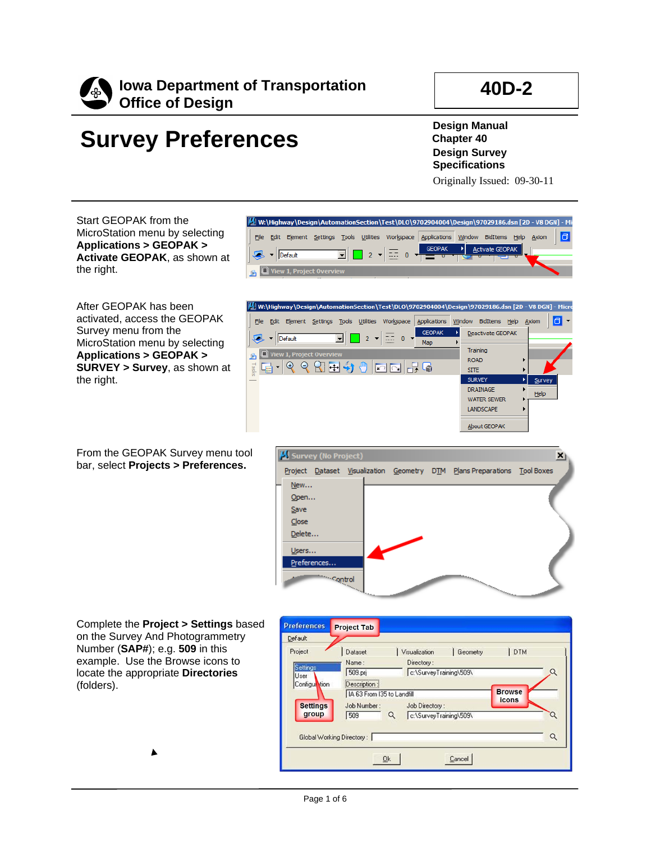

 $\sqrt{3}$  v Default

 $\Box$  View 1, Pro

### **40D-2**

# **Survey Preferences**

**Design Manual Chapter 40 Design Survey Specifications**

Originally Issued: 09-30-11

Activate GEOPAK

 $\Box$ 

Axiom

Start GEOPAK from the MicroStation menu by selecting **Applications > GEOPAK > Activate GEOPAK**, as shown at the right.

After GEOPAK has been activated, access the GEOPAK Survey menu from the MicroStation menu by selecting **Applications > GEOPAK > SURVEY > Survey**, as shown at the right.



M W:\Highway\Design\AutomationSection\Test\DLO\9702904004\Design\97029186.dsn [2D - V8 DGN] - M

**GEOPAK** 

→∣

File Edit Element Settings Tools Utilities Workspace Applications Window BidItems Help

 $\overline{2}$   $\overline{2}$   $\overline{2}$   $\overline{2}$   $\overline{2}$   $\overline{2}$   $\overline{2}$   $\overline{2}$   $\overline{2}$   $\overline{2}$   $\overline{2}$   $\overline{2}$   $\overline{2}$   $\overline{2}$   $\overline{2}$   $\overline{2}$   $\overline{2}$   $\overline{2}$   $\overline{2}$   $\overline{2}$   $\overline{2}$   $\overline{2}$   $\overline{2}$   $\overline{2}$   $\overline{$ 

 $\mathbf{r}$ 

From the GEOPAK Survey menu tool bar, select **Projects > Preferences.**



Complete the **Project > Settings** based on the Survey And Photogrammetry Number (**SAP#**); e.g. **509** in this example. Use the Browse icons to locate the appropriate **Directories** (folders).

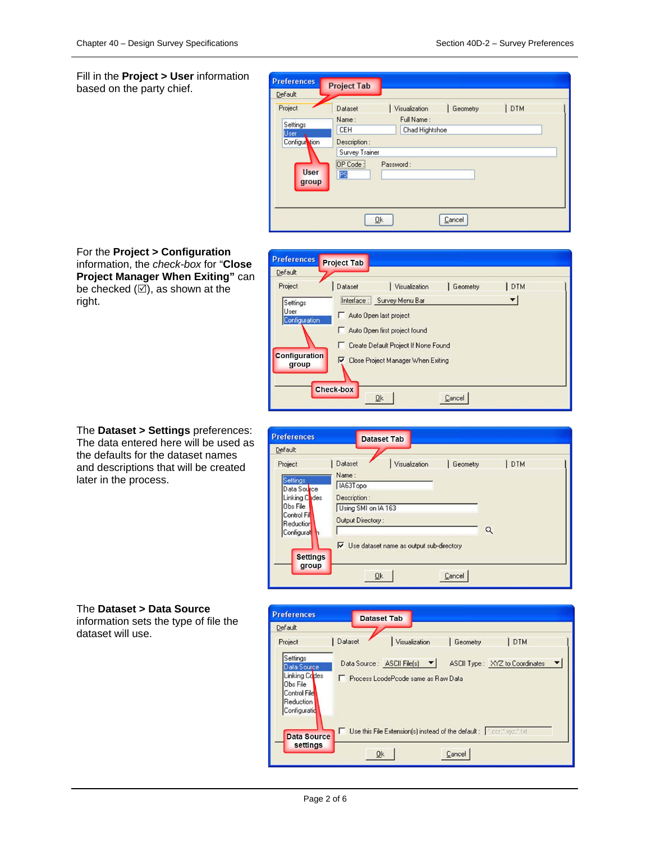Fill in the **Project > User** information based on the party chief.

| <b>Preferences</b><br>Default                                        | <b>Project Tab</b>                                                                                                                                                                                |  |
|----------------------------------------------------------------------|---------------------------------------------------------------------------------------------------------------------------------------------------------------------------------------------------|--|
| Project<br>Settings<br>User<br>Configuration<br><b>User</b><br>group | DTM<br>Visualization<br>Geometry<br>Dataset<br>Full Name:<br>Name:<br><b>CEH</b><br>Chad Hightshoe<br>Description:<br>Survey Trainer<br>,,,,,,,,,,,,,,,,,,,,,,,,,,<br>OP Code:<br>Password:<br>PS |  |
|                                                                      | <b>Ok</b><br>Cancel                                                                                                                                                                               |  |







| <b>Preferences</b>                                                                                                           | <b>Dataset Tab</b>                                                                                                                                                                                   |  |
|------------------------------------------------------------------------------------------------------------------------------|------------------------------------------------------------------------------------------------------------------------------------------------------------------------------------------------------|--|
| Default                                                                                                                      |                                                                                                                                                                                                      |  |
| Project<br>Settings<br>Data Source<br>Linking Codes<br>Obs File<br>Control Fil<br>Reduction<br>Configurat<br><b>Settings</b> | Dataset<br>Visualization<br><b>DTM</b><br>Geometry<br>Name:<br>IA63Topo<br>Description:<br>Using SMI on IA 163<br>Output Directory:<br>$\alpha$<br>$\nabla$ Use dataset name as output sub-directory |  |
| group                                                                                                                        | Qk<br>Cancel                                                                                                                                                                                         |  |

#### The **Dataset > Data Source**

information sets the type of file the dataset will use.

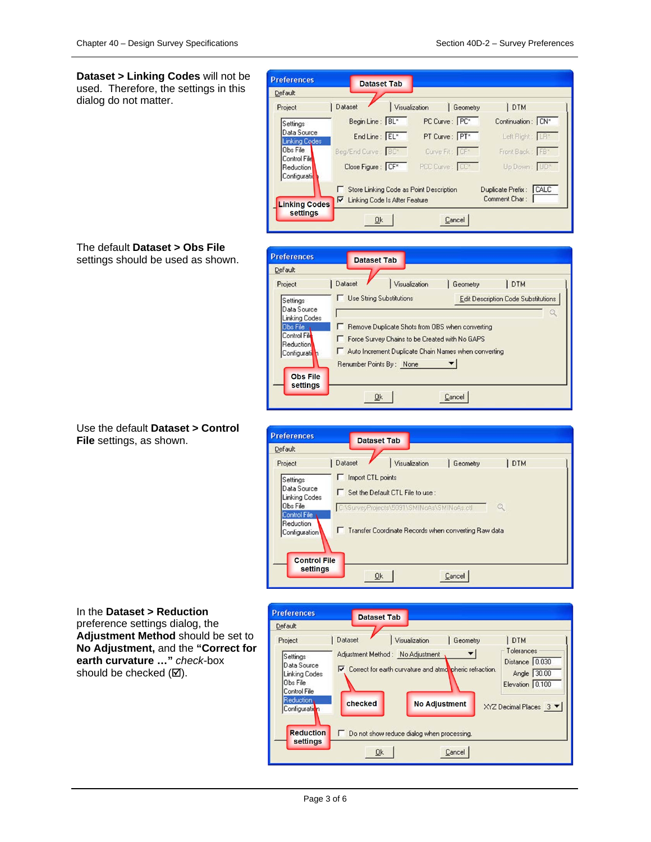**Dataset > Linking Codes** will not be used. Therefore, the settings in this dialog do not matter.



#### The default **Dataset > Obs File** settings should be used as shown.

**Preferences Dataset Tab** Default | Dataset Visualization Geometry **DTM** Project **IT** Use String Substitutions Edit Description Code Substitutions Settings Data Source Linking Codes  $\blacksquare$ Remove Duplicate Shots from OBS when converting Obs File Control Fil F Force Survey Chains to be Created with No GAPS Reduction Auto Increment Duplicate Chain Names when converting Configurati Renumber Points By: None  $\blacktriangledown$ **Obs File** settings  $Qk$  $C$ ance<sup>1</sup>

#### Use the default **Dataset > Control File** settings, as shown.



#### In the **Dataset > Reduction**  preference settings dialog, the **Adjustment Method** should be set to **No Adjustment,** and the **"Correct for earth curvature …"** *check-*box should be checked  $(\boxtimes)$ .

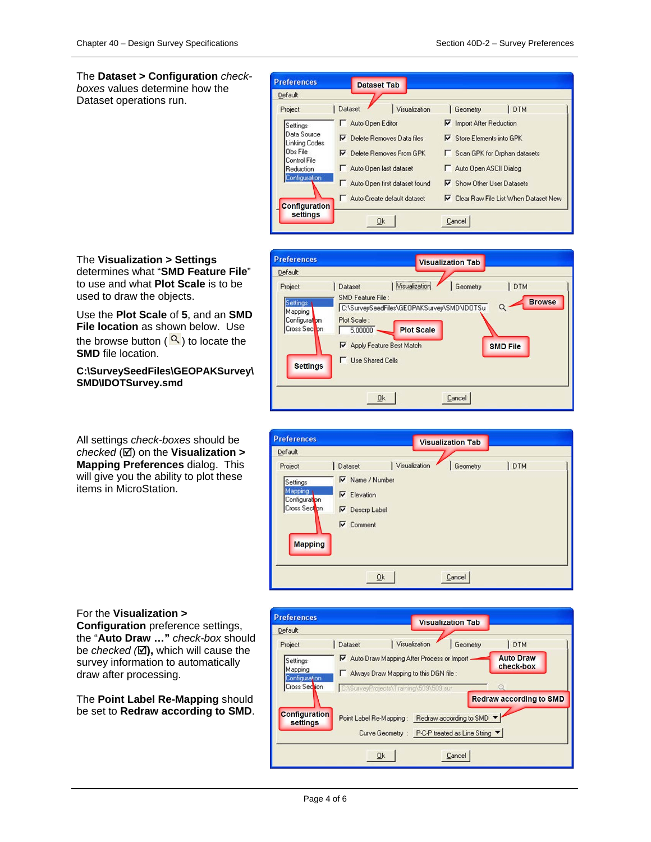The **Dataset > Configuration** *checkboxes* values determine how the Dataset operations run.



The **Visualization > Settings** determines what "**SMD Feature File**" to use and what **Plot Scale** is to be used to draw the objects.

Use the **Plot Scale** of **5**, and an **SMD File location** as shown below. Use the browse button  $\left( \frac{Q}{\epsilon} \right)$  to locate the **SMD** file location.

**C:\SurveySeedFiles\GEOPAKSurvey\ SMD\IDOTSurvey.smd**

All settings *check-boxes* should be *checked* (⊠) on the **Visualization > Mapping Preferences** dialog. This will give you the ability to plot these items in MicroStation.



| <b>Preferences</b>                                                                 |                                                                                                      |               | <b>Visualization Tab</b> |     |
|------------------------------------------------------------------------------------|------------------------------------------------------------------------------------------------------|---------------|--------------------------|-----|
| Default                                                                            |                                                                                                      |               |                          |     |
| Project<br>Settings<br>Mapping<br>Configuration<br>Cross Section<br><b>Mapping</b> | Dataset<br>$\nabla$ Name / Number<br>$\nabla$ Elevation<br>$\nabla$ Descrp Label<br>$\nabla$ Comment | Visualization | Geometry                 | DTM |
|                                                                                    | Qk                                                                                                   |               | Cancel                   |     |

#### For the **Visualization >**

**Configuration** preference settings, the "**Auto Draw …"** *check-box* should be *checked* ( $\boxtimes$ ), which will cause the survey information to automatically draw after processing.

The **Point Label Re-Mapping** should be set to **Redraw according to SMD**.

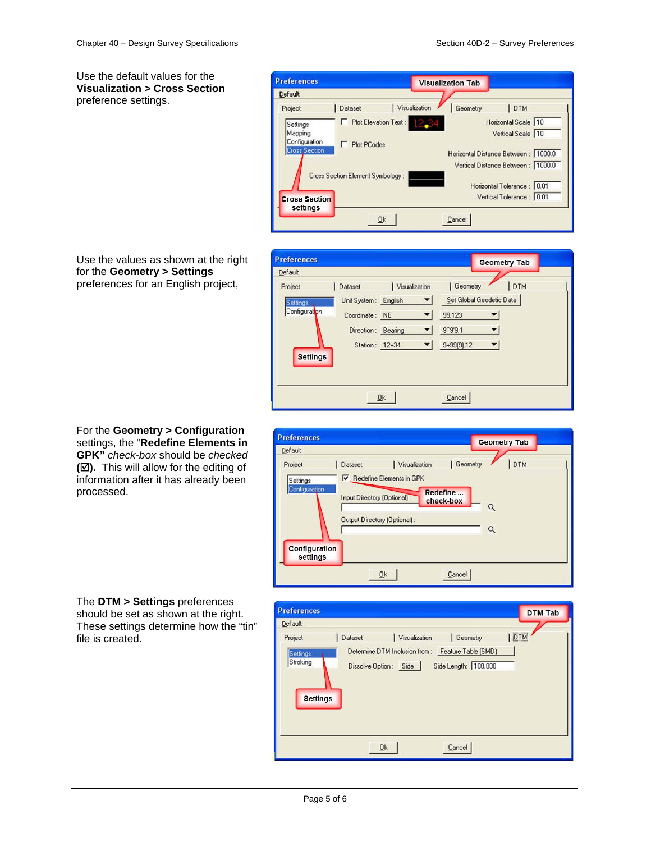Use the default values for the **Visualization > Cross Section** preference settings.



Use the values as shown at the right for the **Geometry > Settings** preferences for an English project,

For the **Geometry > Configuration** settings, the "**Redefine Elements in GPK"** *check-box* should be *checked* **().** This will allow for the editing of information after it has already been processed.





#### The **DTM > Settings** preferences

should be set as shown at the right. These settings determine how the "tin" file is created.

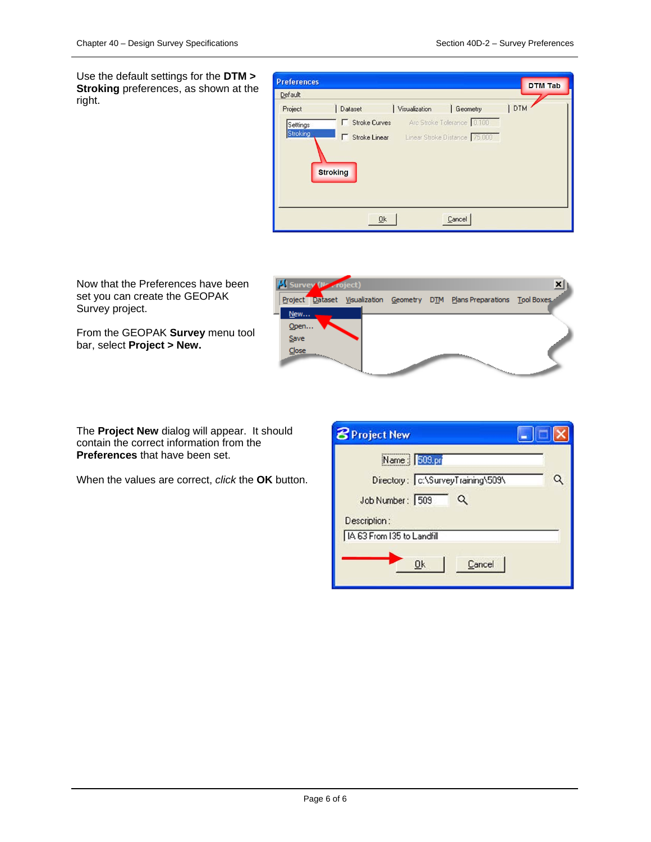**x** 

Use the default settings for the **DTM > Stroking** preferences, as shown at the right.

| <b>Preferences</b> |                        |               |                                                      | <b>DTM Tab</b> |
|--------------------|------------------------|---------------|------------------------------------------------------|----------------|
| Default            |                        |               |                                                      |                |
| Project            | Dataset                | Visualization | Geometry                                             | DTM            |
| Settings           | <b>F</b> Stroke Curves |               | Arc Stroke Tolerance 0.100                           |                |
| Stroking           |                        |               | <b>F</b> Stroke Linear Linear Stroke Distance 75,000 |                |
|                    | <b>Stroking</b>        |               |                                                      |                |
|                    |                        |               |                                                      |                |
|                    |                        |               |                                                      |                |
|                    |                        | <b>Ok</b>     | Cancel                                               |                |

Now that the Preferences have been set you can create the GEOPAK Survey project.

From the GEOPAK **Survey** menu tool bar, select **Project > New.**

Project Dataset Visualization Geometry DTM Plans Preparations Tool Boxes New. Open... Save  $Close$ 

The **Project New** dialog will appear. It should contain the correct information from the **Preferences** that have been set.

When the values are correct, *click* the **OK** button.

| <b>B</b> Project New                                                                         |  |
|----------------------------------------------------------------------------------------------|--|
| Name : 509.pr<br>Directory:   c:\SurveyTraining\509\<br>Job Number: 509<br>Q<br>Description: |  |
| IA 63 From 135 to Landfill<br>Cancel<br><b>Ok</b>                                            |  |

**M** Survey (No